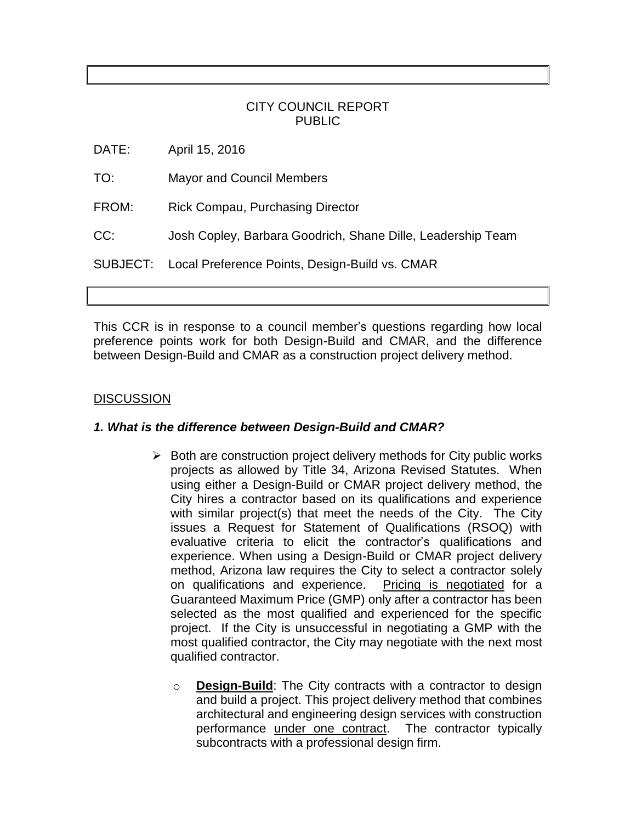# CITY COUNCIL REPORT PUBLIC

DATE: April 15, 2016

- TO: Mayor and Council Members
- FROM: Rick Compau, Purchasing Director
- CC: Josh Copley, Barbara Goodrich, Shane Dille, Leadership Team

SUBJECT: Local Preference Points, Design-Build vs. CMAR

This CCR is in response to a council member's questions regarding how local preference points work for both Design-Build and CMAR, and the difference between Design-Build and CMAR as a construction project delivery method.

## **DISCUSSION**

## *1. What is the difference between Design-Build and CMAR?*

- $\triangleright$  Both are construction project delivery methods for City public works projects as allowed by Title 34, Arizona Revised Statutes. When using either a Design-Build or CMAR project delivery method, the City hires a contractor based on its qualifications and experience with similar project(s) that meet the needs of the City. The City issues a Request for Statement of Qualifications (RSOQ) with evaluative criteria to elicit the contractor's qualifications and experience. When using a Design-Build or CMAR project delivery method, Arizona law requires the City to select a contractor solely on qualifications and experience. Pricing is negotiated for a Guaranteed Maximum Price (GMP) only after a contractor has been selected as the most qualified and experienced for the specific project. If the City is unsuccessful in negotiating a GMP with the most qualified contractor, the City may negotiate with the next most qualified contractor.
	- o **Design-Build**: The City contracts with a contractor to design and build a project. This project delivery method that combines architectural and engineering design services with construction performance under one contract. The contractor typically subcontracts with a professional design firm.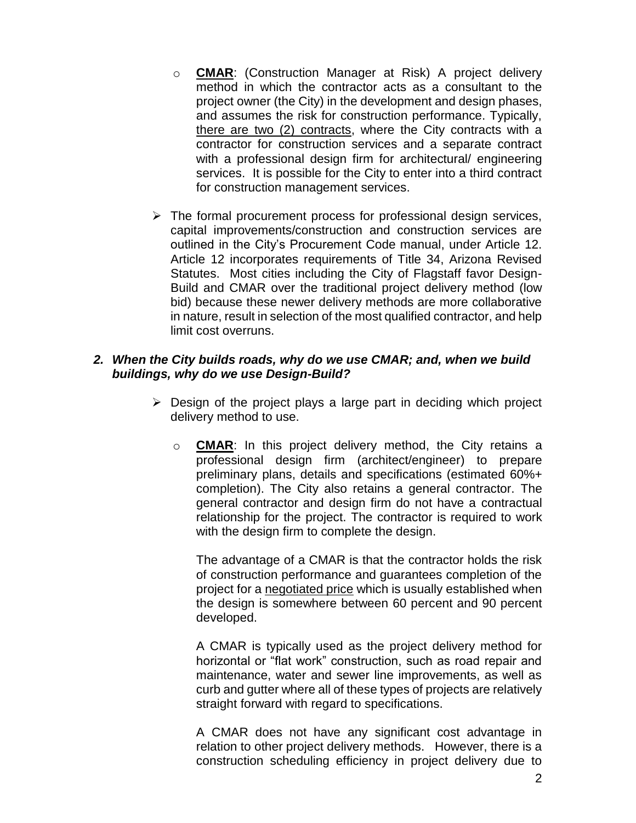- o **CMAR**: (Construction Manager at Risk) A project delivery method in which the contractor acts as a consultant to the project owner (the City) in the development and design phases, and assumes the risk for construction performance. Typically, there are two (2) contracts, where the City contracts with a contractor for construction services and a separate contract with a professional design firm for architectural/ engineering services. It is possible for the City to enter into a third contract for construction management services.
- $\triangleright$  The formal procurement process for professional design services, capital improvements/construction and construction services are outlined in the City's Procurement Code manual, under Article 12. Article 12 incorporates requirements of Title 34, Arizona Revised Statutes. Most cities including the City of Flagstaff favor Design-Build and CMAR over the traditional project delivery method (low bid) because these newer delivery methods are more collaborative in nature, result in selection of the most qualified contractor, and help limit cost overruns.

#### *2. When the City builds roads, why do we use CMAR; and, when we build buildings, why do we use Design-Build?*

- $\triangleright$  Design of the project plays a large part in deciding which project delivery method to use.
	- o **CMAR**: In this project delivery method, the City retains a professional design firm (architect/engineer) to prepare preliminary plans, details and specifications (estimated 60%+ completion). The City also retains a general contractor. The general contractor and design firm do not have a contractual relationship for the project. The contractor is required to work with the design firm to complete the design.

The advantage of a CMAR is that the contractor holds the risk of construction performance and guarantees completion of the project for a negotiated price which is usually established when the design is somewhere between 60 percent and 90 percent developed.

A CMAR is typically used as the project delivery method for horizontal or "flat work" construction, such as road repair and maintenance, water and sewer line improvements, as well as curb and gutter where all of these types of projects are relatively straight forward with regard to specifications.

A CMAR does not have any significant cost advantage in relation to other project delivery methods. However, there is a construction scheduling efficiency in project delivery due to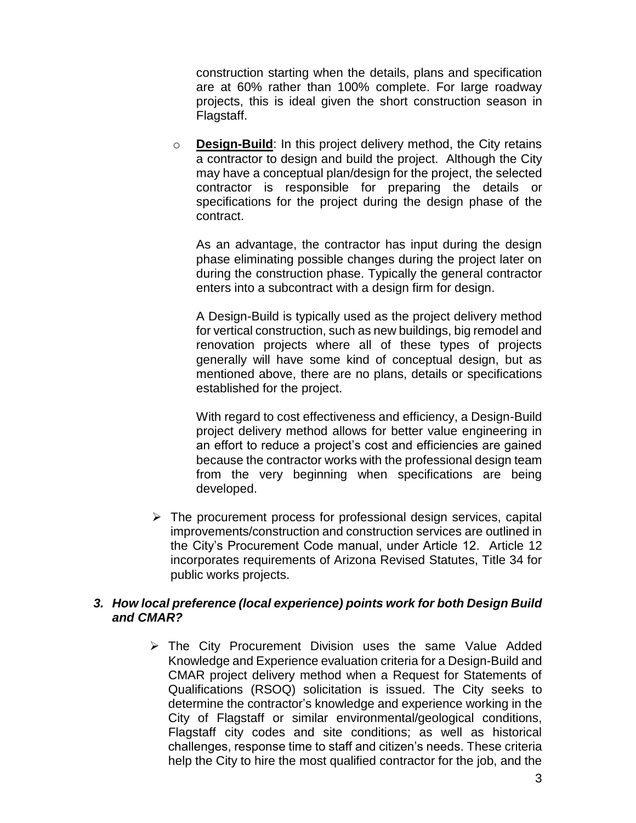construction starting when the details, plans and specification are at 60% rather than 100% complete. For large roadway projects, this is ideal given the short construction season in Flagstaff.

o **Design-Build**: In this project delivery method, the City retains a contractor to design and build the project. Although the City may have a conceptual plan/design for the project, the selected contractor is responsible for preparing the details or specifications for the project during the design phase of the contract.

As an advantage, the contractor has input during the design phase eliminating possible changes during the project later on during the construction phase. Typically the general contractor enters into a subcontract with a design firm for design.

A Design-Build is typically used as the project delivery method for vertical construction, such as new buildings, big remodel and renovation projects where all of these types of projects generally will have some kind of conceptual design, but as mentioned above, there are no plans, details or specifications established for the project.

With regard to cost effectiveness and efficiency, a Design-Build project delivery method allows for better value engineering in an effort to reduce a project's cost and efficiencies are gained because the contractor works with the professional design team from the very beginning when specifications are being developed.

 $\triangleright$  The procurement process for professional design services, capital improvements/construction and construction services are outlined in the City's Procurement Code manual, under Article 12. Article 12 incorporates requirements of Arizona Revised Statutes, Title 34 for public works projects.

#### *3. How local preference (local experience) points work for both Design Build and CMAR?*

> The City Procurement Division uses the same Value Added Knowledge and Experience evaluation criteria for a Design-Build and CMAR project delivery method when a Request for Statements of Qualifications (RSOQ) solicitation is issued. The City seeks to determine the contractor's knowledge and experience working in the City of Flagstaff or similar environmental/geological conditions, Flagstaff city codes and site conditions; as well as historical challenges, response time to staff and citizen's needs. These criteria help the City to hire the most qualified contractor for the job, and the